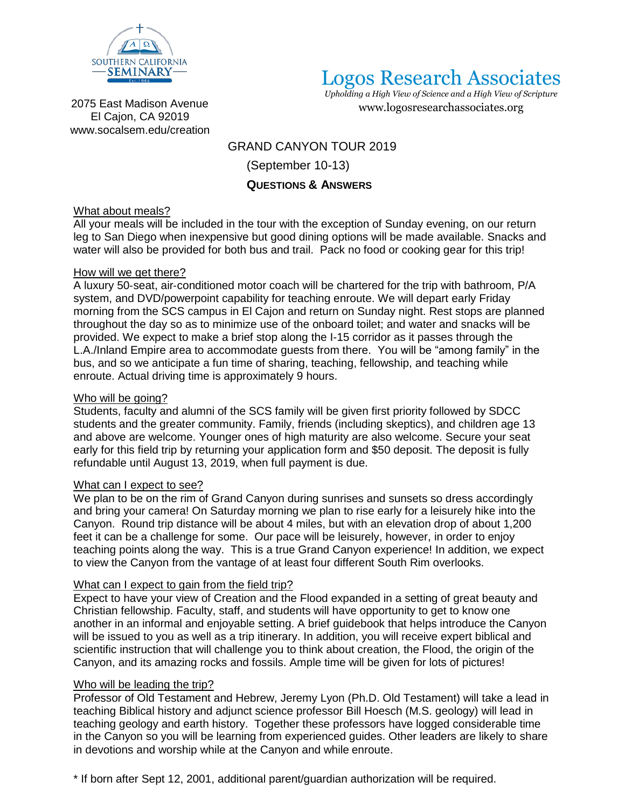

# Logos Research Associates

*Upholding a High View of Science and a High View of Scripture* [www.logosresearchassociates.org](http://www.logosresearchassociates.org/)

2075 East Madison Avenue El Cajon, CA 9201[9](http://www.socalsem.edu/creation) [www.socalsem.edu/creation](http://www.socalsem.edu/creation)

## GRAND CANYON TOUR 2019

(September 10-13)

# **QUESTIONS & ANSWERS**

## What about meals?

All your meals will be included in the tour with the exception of Sunday evening, on our return leg to San Diego when inexpensive but good dining options will be made available. Snacks and water will also be provided for both bus and trail. Pack no food or cooking gear for this trip!

## How will we get there?

A luxury 50‐seat, air‐conditioned motor coach will be chartered for the trip with bathroom, P/A system, and DVD/powerpoint capability for teaching enroute. We will depart early Friday morning from the SCS campus in El Cajon and return on Sunday night. Rest stops are planned throughout the day so as to minimize use of the onboard toilet; and water and snacks will be provided. We expect to make a brief stop along the I-15 corridor as it passes through the L.A./Inland Empire area to accommodate guests from there. You will be "among family" in the bus, and so we anticipate a fun time of sharing, teaching, fellowship, and teaching while enroute. Actual driving time is approximately 9 hours.

#### Who will be going?

Students, faculty and alumni of the SCS family will be given first priority followed by SDCC students and the greater community. Family, friends (including skeptics), and children age 13 and above are welcome. Younger ones of high maturity are also welcome. Secure your seat early for this field trip by returning your application form and \$50 deposit. The deposit is fully refundable until August 13, 2019, when full payment is due.

#### What can I expect to see?

We plan to be on the rim of Grand Canyon during sunrises and sunsets so dress accordingly and bring your camera! On Saturday morning we plan to rise early for a leisurely hike into the Canyon. Round trip distance will be about 4 miles, but with an elevation drop of about 1,200 feet it can be a challenge for some. Our pace will be leisurely, however, in order to enjoy teaching points along the way. This is a true Grand Canyon experience! In addition, we expect to view the Canyon from the vantage of at least four different South Rim overlooks.

## What can I expect to gain from the field trip?

Expect to have your view of Creation and the Flood expanded in a setting of great beauty and Christian fellowship. Faculty, staff, and students will have opportunity to get to know one another in an informal and enjoyable setting. A brief guidebook that helps introduce the Canyon will be issued to you as well as a trip itinerary. In addition, you will receive expert biblical and scientific instruction that will challenge you to think about creation, the Flood, the origin of the Canyon, and its amazing rocks and fossils. Ample time will be given for lots of pictures!

## Who will be leading the trip?

Professor of Old Testament and Hebrew, Jeremy Lyon (Ph.D. Old Testament) will take a lead in teaching Biblical history and adjunct science professor Bill Hoesch (M.S. geology) will lead in teaching geology and earth history. Together these professors have logged considerable time in the Canyon so you will be learning from experienced guides. Other leaders are likely to share in devotions and worship while at the Canyon and while enroute.

\* If born after Sept 12, 2001, additional parent/guardian authorization will be required.